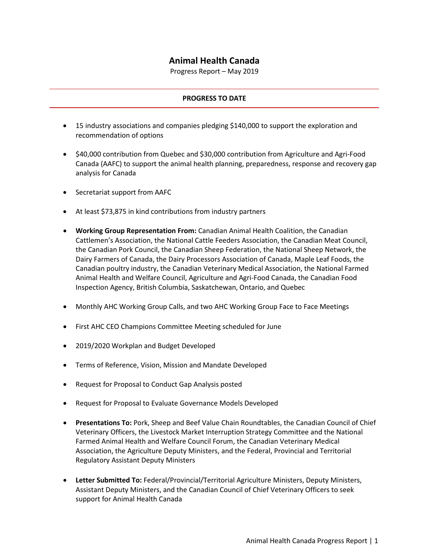## **Animal Health Canada**

Progress Report – May 2019

## **PROGRESS TO DATE**

- 15 industry associations and companies pledging \$140,000 to support the exploration and recommendation of options
- \$40,000 contribution from Quebec and \$30,000 contribution from Agriculture and Agri-Food Canada (AAFC) to support the animal health planning, preparedness, response and recovery gap analysis for Canada
- Secretariat support from AAFC
- At least \$73,875 in kind contributions from industry partners
- **Working Group Representation From:** Canadian Animal Health Coalition, the Canadian Cattlemen's Association, the National Cattle Feeders Association, the Canadian Meat Council, the Canadian Pork Council, the Canadian Sheep Federation, the National Sheep Network, the Dairy Farmers of Canada, the Dairy Processors Association of Canada, Maple Leaf Foods, the Canadian poultry industry, the Canadian Veterinary Medical Association, the National Farmed Animal Health and Welfare Council, Agriculture and Agri-Food Canada, the Canadian Food Inspection Agency, British Columbia, Saskatchewan, Ontario, and Quebec
- Monthly AHC Working Group Calls, and two AHC Working Group Face to Face Meetings
- First AHC CEO Champions Committee Meeting scheduled for June
- 2019/2020 Workplan and Budget Developed
- Terms of Reference, Vision, Mission and Mandate Developed
- Request for Proposal to Conduct Gap Analysis posted
- Request for Proposal to Evaluate Governance Models Developed
- **Presentations To:** Pork, Sheep and Beef Value Chain Roundtables, the Canadian Council of Chief Veterinary Officers, the Livestock Market Interruption Strategy Committee and the National Farmed Animal Health and Welfare Council Forum, the Canadian Veterinary Medical Association, the Agriculture Deputy Ministers, and the Federal, Provincial and Territorial Regulatory Assistant Deputy Ministers
- **Letter Submitted To:** Federal/Provincial/Territorial Agriculture Ministers, Deputy Ministers, Assistant Deputy Ministers, and the Canadian Council of Chief Veterinary Officers to seek support for Animal Health Canada